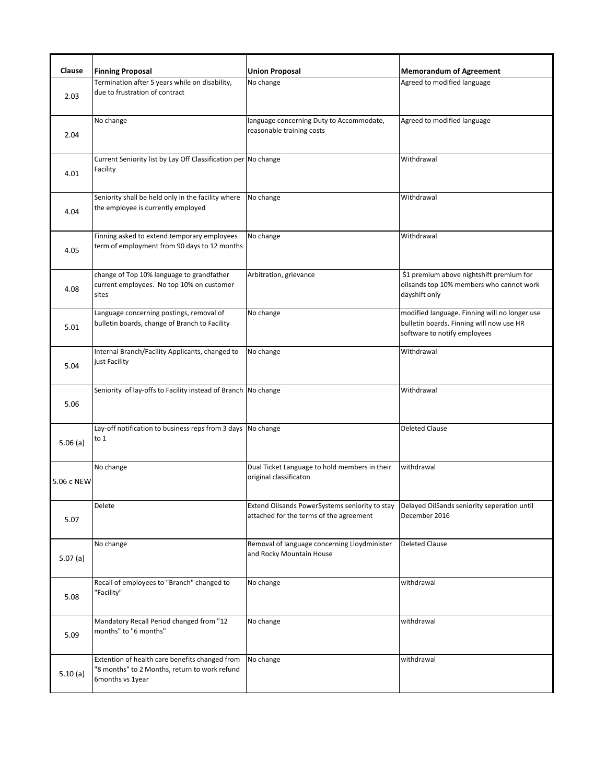| Clause     | <b>Finning Proposal</b>                                                                                             | <b>Union Proposal</b>                                                                     | <b>Memorandum of Agreement</b>                                                                                            |
|------------|---------------------------------------------------------------------------------------------------------------------|-------------------------------------------------------------------------------------------|---------------------------------------------------------------------------------------------------------------------------|
| 2.03       | Termination after 5 years while on disability,<br>due to frustration of contract                                    | No change                                                                                 | Agreed to modified language                                                                                               |
| 2.04       | No change                                                                                                           | language concerning Duty to Accommodate,<br>reasonable training costs                     | Agreed to modified language                                                                                               |
| 4.01       | Current Seniority list by Lay Off Classification per No change<br>Facility                                          |                                                                                           | Withdrawal                                                                                                                |
| 4.04       | Seniority shall be held only in the facility where<br>the employee is currently employed                            | No change                                                                                 | Withdrawal                                                                                                                |
| 4.05       | Finning asked to extend temporary employees<br>term of employment from 90 days to 12 months                         | No change                                                                                 | Withdrawal                                                                                                                |
| 4.08       | change of Top 10% language to grandfather<br>current employees. No top 10% on customer<br>sites                     | Arbitration, grievance                                                                    | \$1 premium above nightshift premium for<br>oilsands top 10% members who cannot work<br>dayshift only                     |
| 5.01       | Language concerning postings, removal of<br>bulletin boards, change of Branch to Facility                           | No change                                                                                 | modified language. Finning will no longer use<br>bulletin boards. Finning will now use HR<br>software to notify employees |
| 5.04       | Internal Branch/Facility Applicants, changed to<br>just Facility                                                    | No change                                                                                 | Withdrawal                                                                                                                |
| 5.06       | Seniority of lay-offs to Facility instead of Branch No change                                                       |                                                                                           | Withdrawal                                                                                                                |
| 5.06(a)    | Lay-off notification to business reps from 3 days No change<br>to 1                                                 |                                                                                           | <b>Deleted Clause</b>                                                                                                     |
| 5.06 c NEW | No change                                                                                                           | Dual Ticket Language to hold members in their<br>original classificaton                   | withdrawal                                                                                                                |
| 5.07       | Delete                                                                                                              | Extend Oilsands PowerSystems seniority to stay<br>attached for the terms of the agreement | Delayed OilSands seniority seperation until<br>December 2016                                                              |
| 5.07(a)    | No change                                                                                                           | Removal of language concerning Lloydminister<br>and Rocky Mountain House                  | <b>Deleted Clause</b>                                                                                                     |
| 5.08       | Recall of employees to "Branch" changed to<br>"Facility"                                                            | No change                                                                                 | withdrawal                                                                                                                |
| 5.09       | Mandatory Recall Period changed from "12<br>months" to "6 months"                                                   | No change                                                                                 | withdrawal                                                                                                                |
| 5.10(a)    | Extention of health care benefits changed from<br>"8 months" to 2 Months, return to work refund<br>6months vs 1year | No change                                                                                 | withdrawal                                                                                                                |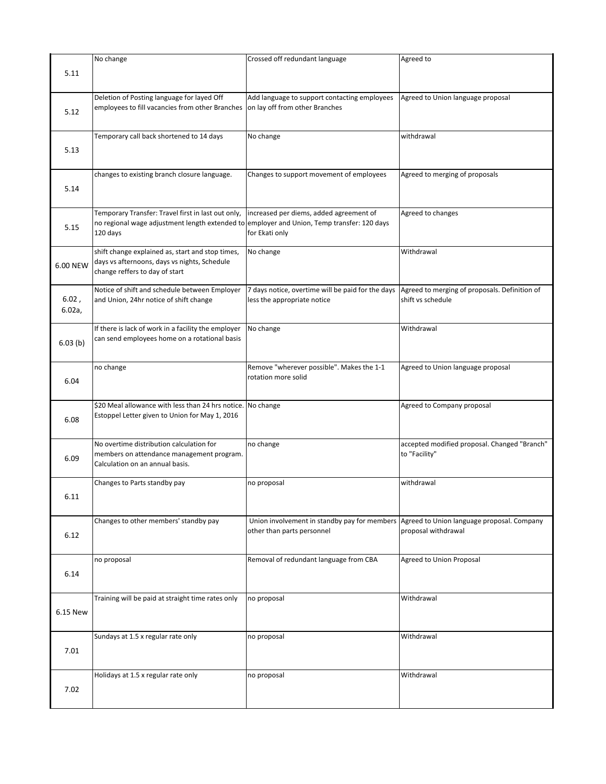|                 | No change                                                                                                                                                    | Crossed off redundant language                                                                                                 | Agreed to                                                     |
|-----------------|--------------------------------------------------------------------------------------------------------------------------------------------------------------|--------------------------------------------------------------------------------------------------------------------------------|---------------------------------------------------------------|
| 5.11            |                                                                                                                                                              |                                                                                                                                |                                                               |
| 5.12            | Deletion of Posting language for layed Off<br>employees to fill vacancies from other Branches                                                                | Add language to support contacting employees<br>on lay off from other Branches                                                 | Agreed to Union language proposal                             |
| 5.13            | Temporary call back shortened to 14 days                                                                                                                     | No change                                                                                                                      | withdrawal                                                    |
| 5.14            | changes to existing branch closure language.                                                                                                                 | Changes to support movement of employees                                                                                       | Agreed to merging of proposals                                |
| 5.15            | Temporary Transfer: Travel first in last out only,<br>no regional wage adjustment length extended to employer and Union, Temp transfer: 120 days<br>120 days | increased per diems, added agreement of<br>for Ekati only                                                                      | Agreed to changes                                             |
| 6.00 NEW        | shift change explained as, start and stop times,<br>days vs afternoons, days vs nights, Schedule<br>change reffers to day of start                           | No change                                                                                                                      | Withdrawal                                                    |
| 6.02,<br>6.02a, | Notice of shift and schedule between Employer<br>and Union, 24hr notice of shift change                                                                      | 7 days notice, overtime will be paid for the days Agreed to merging of proposals. Definition of<br>less the appropriate notice | shift vs schedule                                             |
| 6.03(b)         | If there is lack of work in a facility the employer<br>can send employees home on a rotational basis                                                         | No change                                                                                                                      | Withdrawal                                                    |
| 6.04            | no change                                                                                                                                                    | Remove "wherever possible". Makes the 1-1<br>rotation more solid                                                               | Agreed to Union language proposal                             |
| 6.08            | \$20 Meal allowance with less than 24 hrs notice. No change<br>Estoppel Letter given to Union for May 1, 2016                                                |                                                                                                                                | Agreed to Company proposal                                    |
| 6.09            | No overtime distribution calculation for<br>members on attendance management program.<br>Calculation on an annual basis.                                     | no change                                                                                                                      | accepted modified proposal. Changed "Branch"<br>to "Facility" |
| 6.11            | Changes to Parts standby pay                                                                                                                                 | no proposal                                                                                                                    | withdrawal                                                    |
| 6.12            | Changes to other members' standby pay                                                                                                                        | Union involvement in standby pay for members Agreed to Union language proposal. Company<br>other than parts personnel          | proposal withdrawal                                           |
| 6.14            | no proposal                                                                                                                                                  | Removal of redundant language from CBA                                                                                         | Agreed to Union Proposal                                      |
| 6.15 New        | Training will be paid at straight time rates only                                                                                                            | no proposal                                                                                                                    | Withdrawal                                                    |
| 7.01            | Sundays at 1.5 x regular rate only                                                                                                                           | no proposal                                                                                                                    | Withdrawal                                                    |
| 7.02            | Holidays at 1.5 x regular rate only                                                                                                                          | no proposal                                                                                                                    | Withdrawal                                                    |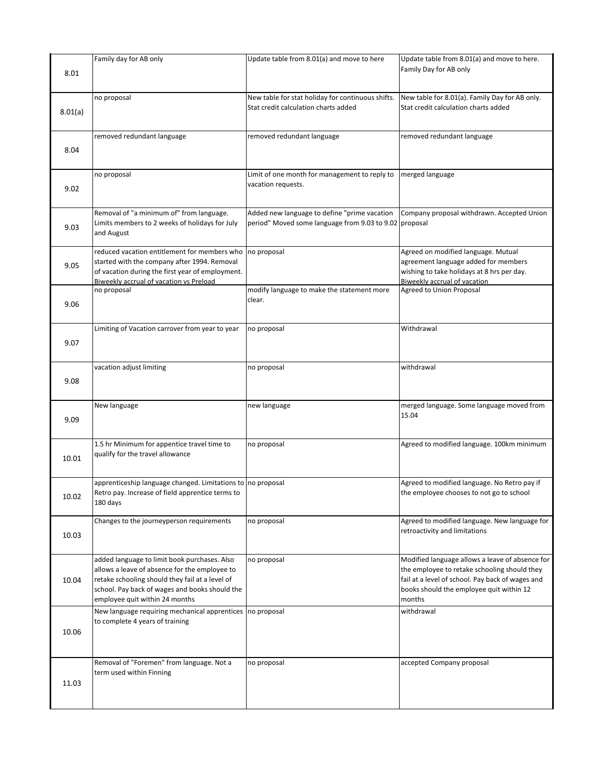|         | Family day for AB only                                                                                                                                                                                                               | Update table from 8.01(a) and move to here                                                             | Update table from 8.01(a) and move to here.                                                                                                                                                               |
|---------|--------------------------------------------------------------------------------------------------------------------------------------------------------------------------------------------------------------------------------------|--------------------------------------------------------------------------------------------------------|-----------------------------------------------------------------------------------------------------------------------------------------------------------------------------------------------------------|
| 8.01    |                                                                                                                                                                                                                                      |                                                                                                        | Family Day for AB only                                                                                                                                                                                    |
|         | no proposal                                                                                                                                                                                                                          | New table for stat holiday for continuous shifts.                                                      | New table for 8.01(a). Family Day for AB only.                                                                                                                                                            |
| 8.01(a) |                                                                                                                                                                                                                                      | Stat credit calculation charts added                                                                   | Stat credit calculation charts added                                                                                                                                                                      |
|         | removed redundant language                                                                                                                                                                                                           | removed redundant language                                                                             | removed redundant language                                                                                                                                                                                |
| 8.04    |                                                                                                                                                                                                                                      |                                                                                                        |                                                                                                                                                                                                           |
| 9.02    | no proposal                                                                                                                                                                                                                          | Limit of one month for management to reply to<br>vacation requests.                                    | merged language                                                                                                                                                                                           |
| 9.03    | Removal of "a minimum of" from language.<br>Limits members to 2 weeks of holidays for July<br>and August                                                                                                                             | Added new language to define "prime vacation<br>period" Moved some language from 9.03 to 9.02 proposal | Company proposal withdrawn. Accepted Union                                                                                                                                                                |
| 9.05    | reduced vacation entitlement for members who<br>started with the company after 1994. Removal<br>of vacation during the first year of employment.<br>Biweekly accrual of vacation vs Preload                                          | no proposal                                                                                            | Agreed on modified language. Mutual<br>agreement language added for members<br>wishing to take holidays at 8 hrs per day.<br>Biweekly accrual of vacation                                                 |
| 9.06    | no proposal                                                                                                                                                                                                                          | modify language to make the statement more<br>clear.                                                   | <b>Agreed to Union Proposal</b>                                                                                                                                                                           |
| 9.07    | Limiting of Vacation carrover from year to year                                                                                                                                                                                      | no proposal                                                                                            | Withdrawal                                                                                                                                                                                                |
| 9.08    | vacation adjust limiting                                                                                                                                                                                                             | no proposal                                                                                            | withdrawal                                                                                                                                                                                                |
| 9.09    | New language                                                                                                                                                                                                                         | new language                                                                                           | merged language. Some language moved from<br>15.04                                                                                                                                                        |
| 10.01   | 1.5 hr Minimum for appentice travel time to<br>qualify for the travel allowance                                                                                                                                                      | no proposal                                                                                            | Agreed to modified language. 100km minimum                                                                                                                                                                |
| 10.02   | apprenticeship language changed. Limitations to no proposal<br>Retro pay. Increase of field apprentice terms to<br>180 days                                                                                                          |                                                                                                        | Agreed to modified language. No Retro pay if<br>the employee chooses to not go to school                                                                                                                  |
| 10.03   | Changes to the journeyperson requirements                                                                                                                                                                                            | no proposal                                                                                            | Agreed to modified language. New language for<br>retroactivity and limitations                                                                                                                            |
| 10.04   | added language to limit book purchases. Also<br>allows a leave of absence for the employee to<br>retake schooling should they fail at a level of<br>school. Pay back of wages and books should the<br>employee quit within 24 months | no proposal                                                                                            | Modified language allows a leave of absence for<br>the employee to retake schooling should they<br>fail at a level of school. Pay back of wages and<br>books should the employee quit within 12<br>months |
| 10.06   | New language requiring mechanical apprentices no proposal<br>to complete 4 years of training                                                                                                                                         |                                                                                                        | withdrawal                                                                                                                                                                                                |
| 11.03   | Removal of "Foremen" from language. Not a<br>term used within Finning                                                                                                                                                                | no proposal                                                                                            | accepted Company proposal                                                                                                                                                                                 |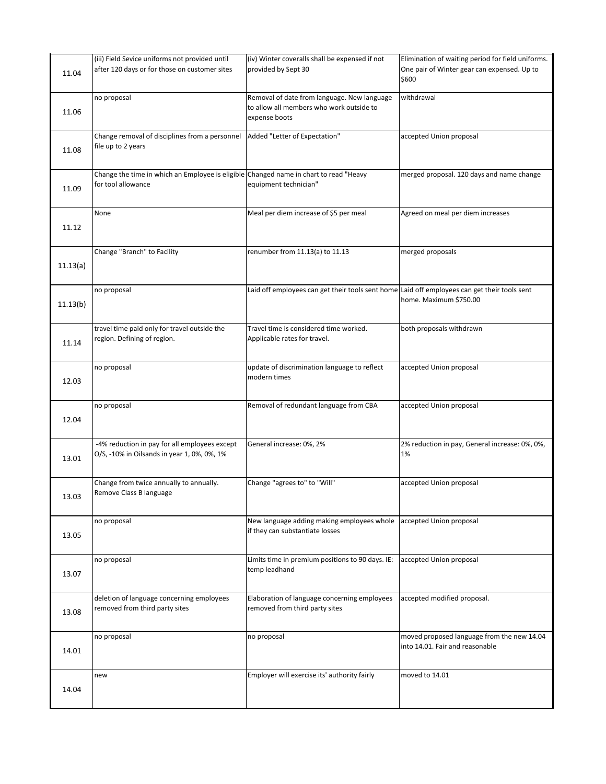| 11.04    | (iii) Field Sevice uniforms not provided until<br>after 120 days or for those on customer sites             | (iv) Winter coveralls shall be expensed if not<br>provided by Sept 30                                    | Elimination of waiting period for field uniforms.<br>One pair of Winter gear can expensed. Up to<br>\$600 |
|----------|-------------------------------------------------------------------------------------------------------------|----------------------------------------------------------------------------------------------------------|-----------------------------------------------------------------------------------------------------------|
| 11.06    | no proposal                                                                                                 | Removal of date from language. New language<br>to allow all members who work outside to<br>expense boots | withdrawal                                                                                                |
| 11.08    | Change removal of disciplines from a personnel<br>file up to 2 years                                        | Added "Letter of Expectation"                                                                            | accepted Union proposal                                                                                   |
| 11.09    | Change the time in which an Employee is eligible Changed name in chart to read "Heavy<br>for tool allowance | equipment technician"                                                                                    | merged proposal. 120 days and name change                                                                 |
| 11.12    | None                                                                                                        | Meal per diem increase of \$5 per meal                                                                   | Agreed on meal per diem increases                                                                         |
| 11.13(a) | Change "Branch" to Facility                                                                                 | renumber from 11.13(a) to 11.13                                                                          | merged proposals                                                                                          |
| 11.13(b) | no proposal                                                                                                 | Laid off employees can get their tools sent home Laid off employees can get their tools sent             | home. Maximum \$750.00                                                                                    |
| 11.14    | travel time paid only for travel outside the<br>region. Defining of region.                                 | Travel time is considered time worked.<br>Applicable rates for travel.                                   | both proposals withdrawn                                                                                  |
| 12.03    | no proposal                                                                                                 | update of discrimination language to reflect<br>modern times                                             | accepted Union proposal                                                                                   |
| 12.04    | no proposal                                                                                                 | Removal of redundant language from CBA                                                                   | accepted Union proposal                                                                                   |
| 13.01    | -4% reduction in pay for all employees except<br>O/S, -10% in Oilsands in year 1, 0%, 0%, 1%                | General increase: 0%, 2%                                                                                 | 2% reduction in pay, General increase: 0%, 0%,<br>1%                                                      |
| 13.03    | Change from twice annually to annually.<br>Remove Class B language                                          | Change "agrees to" to "Will"                                                                             | accepted Union proposal                                                                                   |
| 13.05    | no proposal                                                                                                 | New language adding making employees whole accepted Union proposal<br>if they can substantiate losses    |                                                                                                           |
| 13.07    | no proposal                                                                                                 | Limits time in premium positions to 90 days. IE:<br>temp leadhand                                        | accepted Union proposal                                                                                   |
| 13.08    | deletion of language concerning employees<br>removed from third party sites                                 | Elaboration of language concerning employees<br>removed from third party sites                           | accepted modified proposal.                                                                               |
| 14.01    | no proposal                                                                                                 | no proposal                                                                                              | moved proposed language from the new 14.04<br>into 14.01. Fair and reasonable                             |
| 14.04    | new                                                                                                         | Employer will exercise its' authority fairly                                                             | moved to 14.01                                                                                            |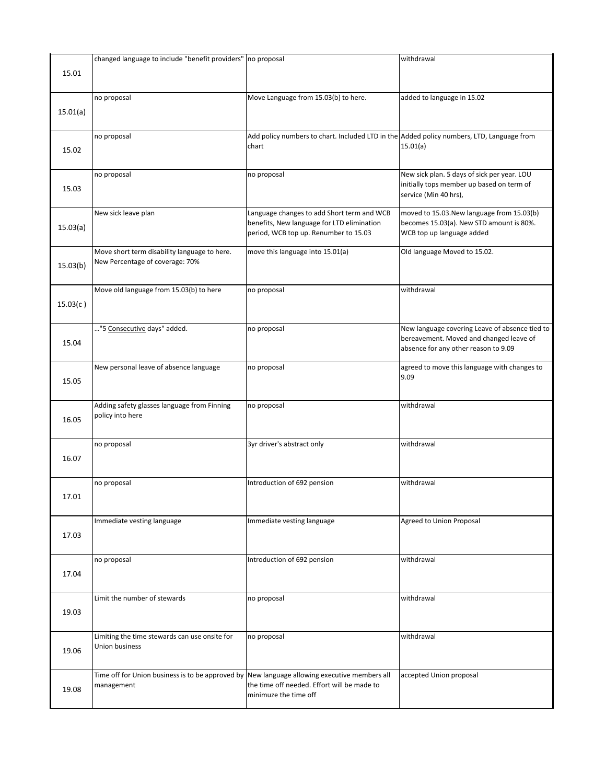|          | changed language to include "benefit providers" no proposal                                                |                                                                                                                                   | withdrawal                                                                                                                        |
|----------|------------------------------------------------------------------------------------------------------------|-----------------------------------------------------------------------------------------------------------------------------------|-----------------------------------------------------------------------------------------------------------------------------------|
| 15.01    |                                                                                                            |                                                                                                                                   |                                                                                                                                   |
| 15.01(a) | no proposal                                                                                                | Move Language from 15.03(b) to here.                                                                                              | added to language in 15.02                                                                                                        |
| 15.02    | no proposal                                                                                                | Add policy numbers to chart. Included LTD in the Added policy numbers, LTD, Language from<br>chart                                | 15.01(a)                                                                                                                          |
| 15.03    | no proposal                                                                                                | no proposal                                                                                                                       | New sick plan. 5 days of sick per year. LOU<br>initially tops member up based on term of<br>service (Min 40 hrs),                 |
| 15.03(a) | New sick leave plan                                                                                        | Language changes to add Short term and WCB<br>benefits, New language for LTD elimination<br>period, WCB top up. Renumber to 15.03 | moved to 15.03. New language from 15.03(b)<br>becomes 15.03(a). New STD amount is 80%.<br>WCB top up language added               |
| 15.03(b) | Move short term disability language to here.<br>New Percentage of coverage: 70%                            | move this language into 15.01(a)                                                                                                  | Old language Moved to 15.02.                                                                                                      |
| 15.03(c) | Move old language from 15.03(b) to here                                                                    | no proposal                                                                                                                       | withdrawal                                                                                                                        |
| 15.04    | "5 Consecutive days" added.                                                                                | no proposal                                                                                                                       | New language covering Leave of absence tied to<br>bereavement. Moved and changed leave of<br>absence for any other reason to 9.09 |
| 15.05    | New personal leave of absence language                                                                     | no proposal                                                                                                                       | agreed to move this language with changes to<br>9.09                                                                              |
| 16.05    | Adding safety glasses language from Finning<br>policy into here                                            | no proposal                                                                                                                       | withdrawal                                                                                                                        |
| 16.07    | no proposal                                                                                                | 3yr driver's abstract only                                                                                                        | withdrawal                                                                                                                        |
| 17.01    | no proposal                                                                                                | Introduction of 692 pension                                                                                                       | withdrawal                                                                                                                        |
| 17.03    | Immediate vesting language                                                                                 | Immediate vesting language                                                                                                        | Agreed to Union Proposal                                                                                                          |
| 17.04    | no proposal                                                                                                | Introduction of 692 pension                                                                                                       | withdrawal                                                                                                                        |
| 19.03    | Limit the number of stewards                                                                               | no proposal                                                                                                                       | withdrawal                                                                                                                        |
| 19.06    | Limiting the time stewards can use onsite for<br>Union business                                            | no proposal                                                                                                                       | withdrawal                                                                                                                        |
| 19.08    | Time off for Union business is to be approved by New language allowing executive members all<br>management | the time off needed. Effort will be made to<br>minimuze the time off                                                              | accepted Union proposal                                                                                                           |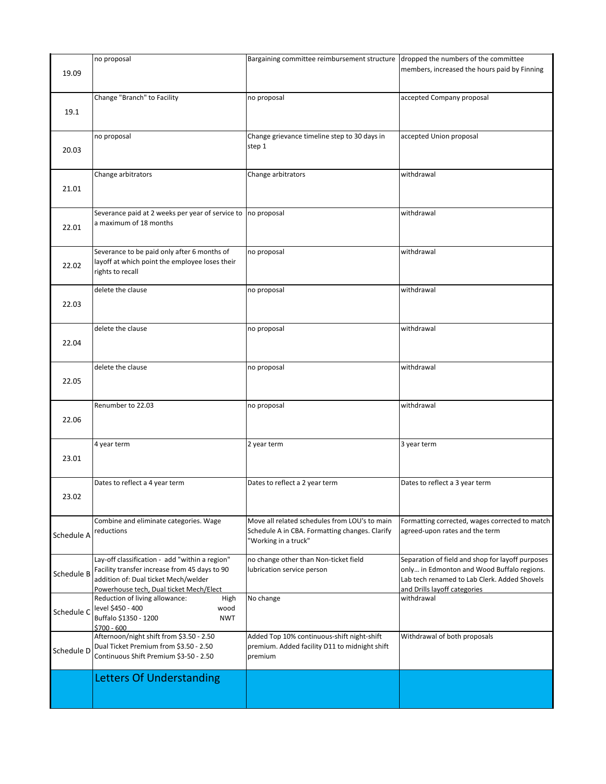|            | no proposal                                                                                                                                                                        | Bargaining committee reimbursement structure dropped the numbers of the committee                                       |                                                                                                                                                                                |
|------------|------------------------------------------------------------------------------------------------------------------------------------------------------------------------------------|-------------------------------------------------------------------------------------------------------------------------|--------------------------------------------------------------------------------------------------------------------------------------------------------------------------------|
| 19.09      |                                                                                                                                                                                    |                                                                                                                         | members, increased the hours paid by Finning                                                                                                                                   |
| 19.1       | Change "Branch" to Facility                                                                                                                                                        | no proposal                                                                                                             | accepted Company proposal                                                                                                                                                      |
| 20.03      | no proposal                                                                                                                                                                        | Change grievance timeline step to 30 days in<br>step 1                                                                  | accepted Union proposal                                                                                                                                                        |
| 21.01      | Change arbitrators                                                                                                                                                                 | Change arbitrators                                                                                                      | withdrawal                                                                                                                                                                     |
| 22.01      | Severance paid at 2 weeks per year of service to no proposal<br>a maximum of 18 months                                                                                             |                                                                                                                         | withdrawal                                                                                                                                                                     |
| 22.02      | Severance to be paid only after 6 months of<br>layoff at which point the employee loses their<br>rights to recall                                                                  | no proposal                                                                                                             | withdrawal                                                                                                                                                                     |
| 22.03      | delete the clause                                                                                                                                                                  | no proposal                                                                                                             | withdrawal                                                                                                                                                                     |
| 22.04      | delete the clause                                                                                                                                                                  | no proposal                                                                                                             | withdrawal                                                                                                                                                                     |
| 22.05      | delete the clause                                                                                                                                                                  | no proposal                                                                                                             | withdrawal                                                                                                                                                                     |
| 22.06      | Renumber to 22.03                                                                                                                                                                  | no proposal                                                                                                             | withdrawal                                                                                                                                                                     |
| 23.01      | 4 year term                                                                                                                                                                        | 2 year term                                                                                                             | 3 year term                                                                                                                                                                    |
| 23.02      | Dates to reflect a 4 year term                                                                                                                                                     | Dates to reflect a 2 year term                                                                                          | Dates to reflect a 3 year term                                                                                                                                                 |
| Schedule A | Combine and eliminate categories. Wage<br>reductions                                                                                                                               | Move all related schedules from LOU's to main<br>Schedule A in CBA. Formatting changes. Clarify<br>"Working in a truck" | Formatting corrected, wages corrected to match<br>agreed-upon rates and the term                                                                                               |
| Schedule B | Lay-off classification - add "within a region"<br>Facility transfer increase from 45 days to 90<br>addition of: Dual ticket Mech/welder<br>Powerhouse tech, Dual ticket Mech/Elect | no change other than Non-ticket field<br>lubrication service person                                                     | Separation of field and shop for layoff purposes<br>only in Edmonton and Wood Buffalo regions.<br>Lab tech renamed to Lab Clerk. Added Shovels<br>and Drills layoff categories |
| Schedule C | Reduction of living allowance:<br>High<br>level \$450 - 400<br>wood<br>Buffalo \$1350 - 1200<br><b>NWT</b><br>\$700 - 600                                                          | No change                                                                                                               | withdrawal                                                                                                                                                                     |
| Schedule D | Afternoon/night shift from \$3.50 - 2.50<br>Dual Ticket Premium from \$3.50 - 2.50<br>Continuous Shift Premium \$3-50 - 2.50                                                       | Added Top 10% continuous-shift night-shift<br>premium. Added facility D11 to midnight shift<br>premium                  | Withdrawal of both proposals                                                                                                                                                   |
|            | <b>Letters Of Understanding</b>                                                                                                                                                    |                                                                                                                         |                                                                                                                                                                                |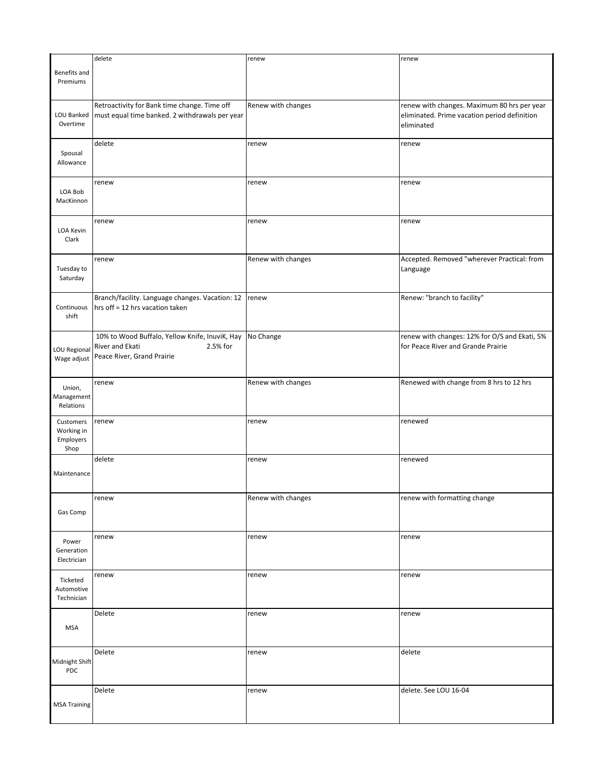|                             | delete                                                                             | renew              | renew                                         |
|-----------------------------|------------------------------------------------------------------------------------|--------------------|-----------------------------------------------|
| Benefits and                |                                                                                    |                    |                                               |
| Premiums                    |                                                                                    |                    |                                               |
|                             |                                                                                    |                    |                                               |
|                             | Retroactivity for Bank time change. Time off                                       | Renew with changes | renew with changes. Maximum 80 hrs per year   |
| LOU Banked                  | must equal time banked. 2 withdrawals per year                                     |                    | eliminated. Prime vacation period definition  |
| Overtime                    |                                                                                    |                    | eliminated                                    |
|                             |                                                                                    |                    |                                               |
|                             | delete                                                                             | renew              | renew                                         |
| Spousal                     |                                                                                    |                    |                                               |
| Allowance                   |                                                                                    |                    |                                               |
|                             |                                                                                    |                    |                                               |
|                             | renew                                                                              | renew              | renew                                         |
| LOA Bob<br>MacKinnon        |                                                                                    |                    |                                               |
|                             |                                                                                    |                    |                                               |
|                             | renew                                                                              | renew              | renew                                         |
| LOA Kevin                   |                                                                                    |                    |                                               |
| Clark                       |                                                                                    |                    |                                               |
|                             |                                                                                    |                    |                                               |
|                             | renew                                                                              | Renew with changes | Accepted. Removed "wherever Practical: from   |
| Tuesday to                  |                                                                                    |                    | Language                                      |
| Saturday                    |                                                                                    |                    |                                               |
|                             |                                                                                    |                    |                                               |
| Continuous                  | Branch/facility. Language changes. Vacation: 12<br>hrs off = 12 hrs vacation taken | renew              | Renew: "branch to facility"                   |
| shift                       |                                                                                    |                    |                                               |
|                             |                                                                                    |                    |                                               |
|                             | 10% to Wood Buffalo, Yellow Knife, InuviK, Hay                                     | No Change          | renew with changes: 12% for O/S and Ekati, 5% |
|                             | River and Ekati<br>2.5% for                                                        |                    | for Peace River and Grande Prairie            |
| LOU Regional<br>Wage adjust | Peace River, Grand Prairie                                                         |                    |                                               |
|                             |                                                                                    |                    |                                               |
|                             |                                                                                    |                    |                                               |
| Union,                      | renew                                                                              | Renew with changes | Renewed with change from 8 hrs to 12 hrs      |
| Management                  |                                                                                    |                    |                                               |
| Relations                   |                                                                                    |                    |                                               |
| Customers                   | renew                                                                              | renew              | renewed                                       |
| Working in                  |                                                                                    |                    |                                               |
| Employers                   |                                                                                    |                    |                                               |
| Shop                        |                                                                                    |                    |                                               |
|                             | delete                                                                             | renew              | renewed                                       |
| Maintenance                 |                                                                                    |                    |                                               |
|                             |                                                                                    |                    |                                               |
|                             |                                                                                    | Renew with changes | renew with formatting change                  |
|                             | renew                                                                              |                    |                                               |
| Gas Comp                    |                                                                                    |                    |                                               |
|                             |                                                                                    |                    |                                               |
| Power                       | renew                                                                              | renew              | renew                                         |
| Generation                  |                                                                                    |                    |                                               |
| Electrician                 |                                                                                    |                    |                                               |
|                             |                                                                                    |                    |                                               |
| Ticketed                    | renew                                                                              | renew              | renew                                         |
| Automotive                  |                                                                                    |                    |                                               |
| Technician                  |                                                                                    |                    |                                               |
|                             | Delete                                                                             | renew              | renew                                         |
|                             |                                                                                    |                    |                                               |
| <b>MSA</b>                  |                                                                                    |                    |                                               |
|                             |                                                                                    |                    |                                               |
|                             | Delete                                                                             | renew              | delete                                        |
| Midnight Shift              |                                                                                    |                    |                                               |
| PDC                         |                                                                                    |                    |                                               |
|                             | Delete                                                                             | renew              | delete. See LOU 16-04                         |
|                             |                                                                                    |                    |                                               |
| <b>MSA Training</b>         |                                                                                    |                    |                                               |
|                             |                                                                                    |                    |                                               |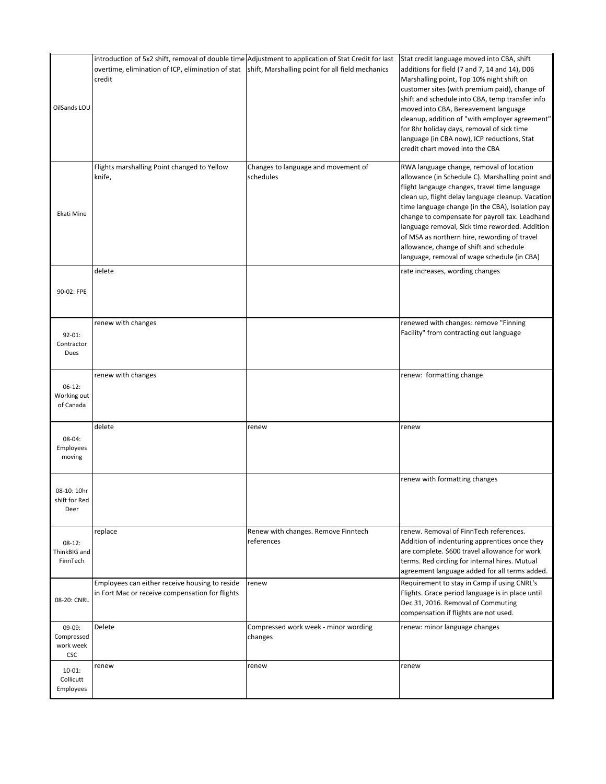| OilSands LOU                                    | introduction of 5x2 shift, removal of double time Adjustment to application of Stat Credit for last<br>overtime, elimination of ICP, elimination of stat<br>credit | shift, Marshalling point for all field mechanics  | Stat credit language moved into CBA, shift<br>additions for field (7 and 7, 14 and 14), D06<br>Marshalling point, Top 10% night shift on<br>customer sites (with premium paid), change of<br>shift and schedule into CBA, temp transfer info<br>moved into CBA, Bereavement language<br>cleanup, addition of "with employer agreement"<br>for 8hr holiday days, removal of sick time<br>language (in CBA now), ICP reductions, Stat<br>credit chart moved into the CBA                               |
|-------------------------------------------------|--------------------------------------------------------------------------------------------------------------------------------------------------------------------|---------------------------------------------------|------------------------------------------------------------------------------------------------------------------------------------------------------------------------------------------------------------------------------------------------------------------------------------------------------------------------------------------------------------------------------------------------------------------------------------------------------------------------------------------------------|
| Ekati Mine                                      | Flights marshalling Point changed to Yellow<br>knife,                                                                                                              | Changes to language and movement of<br>schedules  | RWA language change, removal of location<br>allowance (in Schedule C). Marshalling point and<br>flight langauge changes, travel time language<br>clean up, flight delay language cleanup. Vacation<br>time language change (in the CBA), Isolation pay<br>change to compensate for payroll tax. Leadhand<br>language removal, Sick time reworded. Addition<br>of MSA as northern hire, rewording of travel<br>allowance, change of shift and schedule<br>language, removal of wage schedule (in CBA) |
| 90-02: FPE                                      | delete                                                                                                                                                             |                                                   | rate increases, wording changes                                                                                                                                                                                                                                                                                                                                                                                                                                                                      |
| 92-01:<br>Contractor<br>Dues                    | renew with changes                                                                                                                                                 |                                                   | renewed with changes: remove "Finning<br>Facility" from contracting out language                                                                                                                                                                                                                                                                                                                                                                                                                     |
| $06-12:$<br>Working out<br>of Canada            | renew with changes                                                                                                                                                 |                                                   | renew: formatting change                                                                                                                                                                                                                                                                                                                                                                                                                                                                             |
| 08-04:<br>Employees<br>moving                   | delete                                                                                                                                                             | renew                                             | renew                                                                                                                                                                                                                                                                                                                                                                                                                                                                                                |
| 08-10: 10hr<br>shift for Red<br>Deer            |                                                                                                                                                                    |                                                   | renew with formatting changes                                                                                                                                                                                                                                                                                                                                                                                                                                                                        |
| $08-12:$<br>ThinkBIG and<br>FinnTech            | replace                                                                                                                                                            | Renew with changes. Remove Finntech<br>references | renew. Removal of FinnTech references.<br>Addition of indenturing apprentices once they<br>are complete. \$600 travel allowance for work<br>terms. Red circling for internal hires. Mutual<br>agreement language added for all terms added.                                                                                                                                                                                                                                                          |
| 08-20: CNRL                                     | Employees can either receive housing to reside<br>in Fort Mac or receive compensation for flights                                                                  | renew                                             | Requirement to stay in Camp if using CNRL's<br>Flights. Grace period language is in place until<br>Dec 31, 2016. Removal of Commuting<br>compensation if flights are not used.                                                                                                                                                                                                                                                                                                                       |
| 09-09:<br>Compressed<br>work week<br><b>CSC</b> | Delete                                                                                                                                                             | Compressed work week - minor wording<br>changes   | renew: minor language changes                                                                                                                                                                                                                                                                                                                                                                                                                                                                        |
| $10-01$ :<br>Collicutt<br>Employees             | renew                                                                                                                                                              | renew                                             | renew                                                                                                                                                                                                                                                                                                                                                                                                                                                                                                |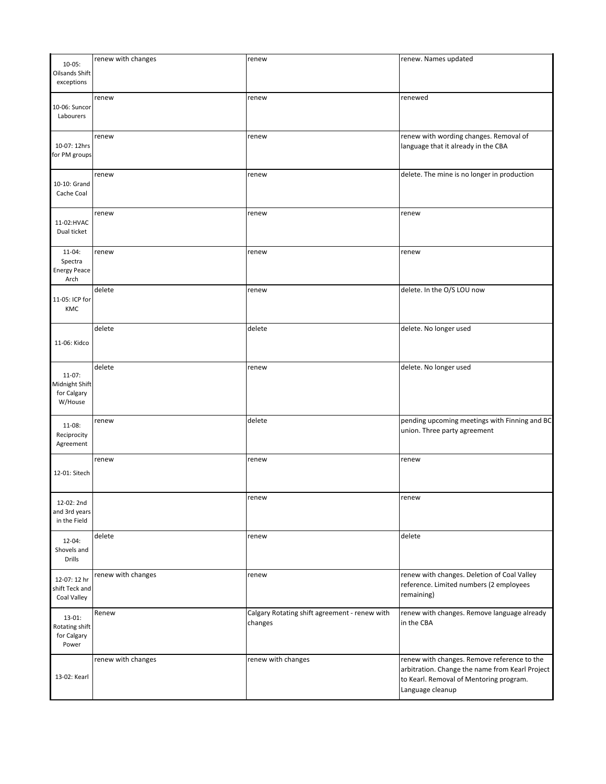| $10-05$ :<br>Oilsands Shift<br>exceptions             | renew with changes | renew                                                    | renew. Names updated                                                                                                                                          |
|-------------------------------------------------------|--------------------|----------------------------------------------------------|---------------------------------------------------------------------------------------------------------------------------------------------------------------|
| 10-06: Suncor<br>Labourers                            | renew              | renew                                                    | renewed                                                                                                                                                       |
| 10-07: 12hrs<br>for PM groups                         | renew              | renew                                                    | renew with wording changes. Removal of<br>language that it already in the CBA                                                                                 |
| 10-10: Grand<br>Cache Coal                            | renew              | renew                                                    | delete. The mine is no longer in production                                                                                                                   |
| 11-02:HVAC<br>Dual ticket                             | renew              | renew                                                    | renew                                                                                                                                                         |
| $11-04:$<br>Spectra<br><b>Energy Peace</b><br>Arch    | renew              | renew                                                    | renew                                                                                                                                                         |
| 11-05: ICP for<br>KMC                                 | delete             | renew                                                    | delete. In the O/S LOU now                                                                                                                                    |
| 11-06: Kidco                                          | delete             | delete                                                   | delete. No longer used                                                                                                                                        |
| $11-07$ :<br>Midnight Shift<br>for Calgary<br>W/House | delete             | renew                                                    | delete. No longer used                                                                                                                                        |
| $11-08:$<br>Reciprocity<br>Agreement                  | renew              | delete                                                   | pending upcoming meetings with Finning and BC<br>union. Three party agreement                                                                                 |
| 12-01: Sitech                                         | renew              | renew                                                    | renew                                                                                                                                                         |
| 12-02: 2nd<br>and 3rd years<br>in the Field           |                    | renew                                                    | renew                                                                                                                                                         |
| $12 - 04$ :<br>Shovels and<br><b>Drills</b>           | delete             | renew                                                    | delete                                                                                                                                                        |
| 12-07: 12 hr<br>shift Teck and<br>Coal Valley         | renew with changes | renew                                                    | renew with changes. Deletion of Coal Valley<br>reference. Limited numbers (2 employees<br>remaining)                                                          |
| $13-01$ :<br>Rotating shift<br>for Calgary<br>Power   | Renew              | Calgary Rotating shift agreement - renew with<br>changes | renew with changes. Remove language already<br>in the CBA                                                                                                     |
| 13-02: Kearl                                          | renew with changes | renew with changes                                       | renew with changes. Remove reference to the<br>arbitration. Change the name from Kearl Project<br>to Kearl. Removal of Mentoring program.<br>Language cleanup |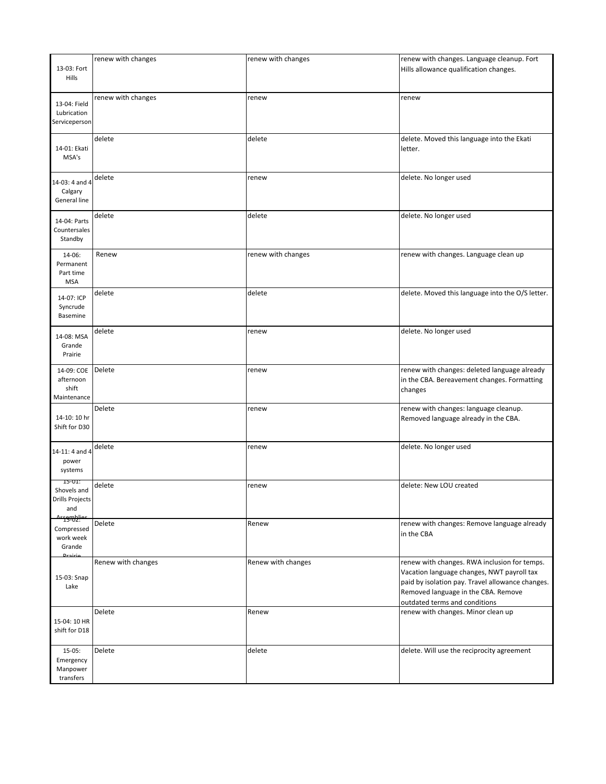| 13-03: Fort<br>Hills                                               | renew with changes | renew with changes | renew with changes. Language cleanup. Fort<br>Hills allowance qualification changes.                                                                                                                                   |
|--------------------------------------------------------------------|--------------------|--------------------|------------------------------------------------------------------------------------------------------------------------------------------------------------------------------------------------------------------------|
| 13-04: Field<br>Lubrication<br>Serviceperson                       | renew with changes | renew              | renew                                                                                                                                                                                                                  |
| 14-01: Ekati<br>MSA's                                              | delete             | delete             | delete. Moved this language into the Ekati<br>letter.                                                                                                                                                                  |
| 14-03: 4 and 4<br>Calgary<br>General line                          | delete             | renew              | delete. No longer used                                                                                                                                                                                                 |
| 14-04: Parts<br>Countersales<br>Standby                            | delete             | delete             | delete. No longer used                                                                                                                                                                                                 |
| 14-06:<br>Permanent<br>Part time<br><b>MSA</b>                     | Renew              | renew with changes | renew with changes. Language clean up                                                                                                                                                                                  |
| 14-07: ICP<br>Syncrude<br>Basemine                                 | delete             | delete             | delete. Moved this language into the O/S letter.                                                                                                                                                                       |
| 14-08: MSA<br>Grande<br>Prairie                                    | delete             | renew              | delete. No longer used                                                                                                                                                                                                 |
| 14-09: COE<br>afternoon<br>shift<br>Maintenance                    | Delete             | renew              | renew with changes: deleted language already<br>in the CBA. Bereavement changes. Formatting<br>changes                                                                                                                 |
| 14-10: 10 hr<br>Shift for D30                                      | Delete             | renew              | renew with changes: language cleanup.<br>Removed language already in the CBA.                                                                                                                                          |
| 14-11: 4 and 4<br>power<br>systems                                 | delete             | renew              | delete. No longer used                                                                                                                                                                                                 |
| 15-01:<br>Shovels and<br><b>Drills Projects</b><br>and             | delete             | renew              | delete: New LOU created                                                                                                                                                                                                |
| <u> Assemblies</u><br>Compressed<br>work week<br>Grande<br>Drairie | Delete             | Renew              | renew with changes: Remove language already<br>in the CBA                                                                                                                                                              |
| 15-03: Snap<br>Lake                                                | Renew with changes | Renew with changes | renew with changes. RWA inclusion for temps.<br>Vacation language changes, NWT payroll tax<br>paid by isolation pay. Travel allowance changes.<br>Removed language in the CBA. Remove<br>outdated terms and conditions |
| 15-04: 10 HR<br>shift for D18                                      | Delete             | Renew              | renew with changes. Minor clean up                                                                                                                                                                                     |
| $15-05:$<br>Emergency<br>Manpower<br>transfers                     | Delete             | delete             | delete. Will use the reciprocity agreement                                                                                                                                                                             |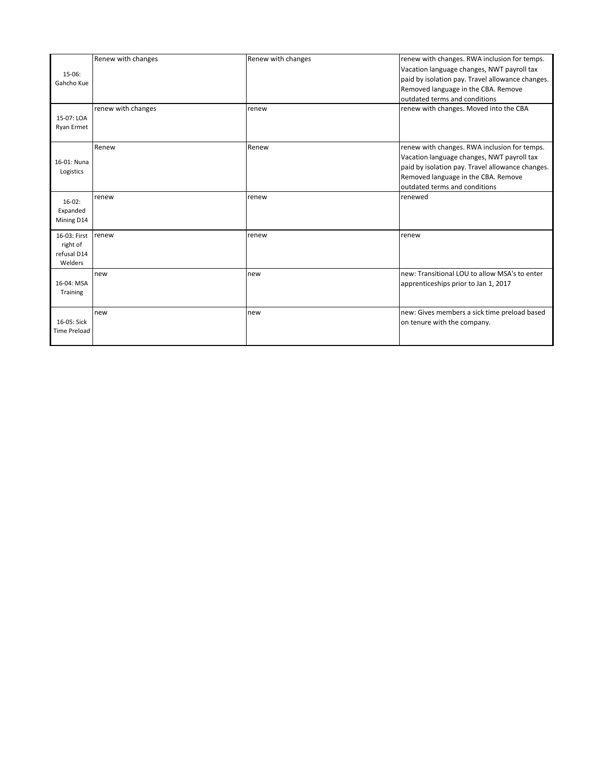| $15-06:$<br>Gahcho Kue<br>15-07: LOA<br>Ryan Ermet | Renew with changes<br>renew with changes | Renew with changes<br>renew | renew with changes. RWA inclusion for temps.<br>Vacation language changes, NWT payroll tax<br>paid by isolation pay. Travel allowance changes.<br>Removed language in the CBA. Remove<br>outdated terms and conditions<br>renew with changes. Moved into the CBA |
|----------------------------------------------------|------------------------------------------|-----------------------------|------------------------------------------------------------------------------------------------------------------------------------------------------------------------------------------------------------------------------------------------------------------|
| 16-01: Nuna<br>Logistics                           | Renew                                    | Renew                       | renew with changes. RWA inclusion for temps.<br>Vacation language changes, NWT payroll tax<br>paid by isolation pay. Travel allowance changes.<br>Removed language in the CBA. Remove<br>outdated terms and conditions                                           |
| $16-02$ :<br>Expanded<br>Mining D14                | renew                                    | renew                       | renewed                                                                                                                                                                                                                                                          |
| 16-03: First<br>right of<br>refusal D14<br>Welders | renew                                    | renew                       | renew                                                                                                                                                                                                                                                            |
| 16-04: MSA<br>Training                             | new                                      | new                         | new: Transitional LOU to allow MSA's to enter<br>apprenticeships prior to Jan 1, 2017                                                                                                                                                                            |
| 16-05: Sick<br><b>Time Preload</b>                 | new                                      | new                         | new: Gives members a sick time preload based<br>on tenure with the company.                                                                                                                                                                                      |